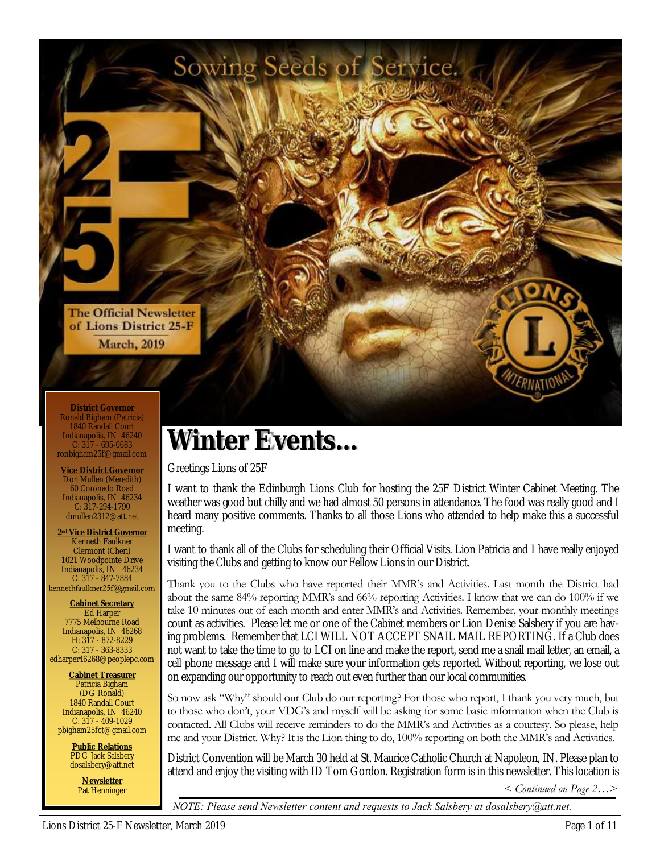

**District Governor** Ronald Bigham (Patricia) 1840 Randall Cour Indianapolis, IN 46240 C: 317 - 695-0683 ronbigham25f@gmail.com

**Vice District Governor** Don Mullen (Meredith) 60 Coronado Road Indianapolis, IN 46234 C: 317-294-1790 dmullen2312@att.net

**2nd Vice District Governor** Kenneth Faulkner Clermont (Cheri) 1021 Woodpointe Drive Indianapolis, IN 46234 C: 317 - 847-7884<br>kennethfaulkner25f@gmail.com

**Cabinet Secretary** Ed Harper 7775 Melbourne Road Indianapolis, IN 46268 H: 317 - 872-8229 C: 317 - 363-8333 edharper46268@peoplepc.com

**Cabinet Treasurer** Patricia Bigham (DG Ronald) 1840 Randall Court Indianapolis, IN 46240 C: 317 - 409-1029 pbigham25fct@gmail.com

> **Public Relations** PDG Jack Salsbery dosalsbery@att.net

**Newsletter** Pat Henninger

# **Winter Events...**

Sowing Seeds of Service.

Greetings Lions of 25F

I want to thank the Edinburgh Lions Club for hosting the 25F District Winter Cabinet Meeting. The weather was good but chilly and we had almost 50 persons in attendance. The food was really good and I heard many positive comments. Thanks to all those Lions who attended to help make this a successful meeting.

I want to thank all of the Clubs for scheduling their Official Visits. Lion Patricia and I have really enjoyed visiting the Clubs and getting to know our Fellow Lions in our District.

Thank you to the Clubs who have reported their MMR's and Activities. Last month the District had about the same 84% reporting MMR's and 66% reporting Activities. I know that we can do 100% if we take 10 minutes out of each month and enter MMR's and Activities. Remember, your monthly meetings count as activities. Please let me or one of the Cabinet members or Lion Denise Salsbery if you are having problems. Remember that LCI WILL NOT ACCEPT SNAIL MAIL REPORTING. If a Club does not want to take the time to go to LCI on line and make the report, send me a snail mail letter, an email, a cell phone message and I will make sure your information gets reported. Without reporting, we lose out on expanding our opportunity to reach out even further than our local communities.

So now ask "Why" should our Club do our reporting? For those who report, I thank you very much, but to those who don't, your VDG's and myself will be asking for some basic information when the Club is contacted. All Clubs will receive reminders to do the MMR's and Activities as a courtesy. So please, help me and your District. Why? It is the Lion thing to do, 100% reporting on both the MMR's and Activities.

District Convention will be March 30 held at St. Maurice Catholic Church at Napoleon, IN. Please plan to attend and enjoy the visiting with ID Tom Gordon. Registration form is in this newsletter. This location is

*< Continued on Page 2…>* 

*NOTE: Please send Newsletter content and requests to Jack Salsbery at dosalsbery@att.net.*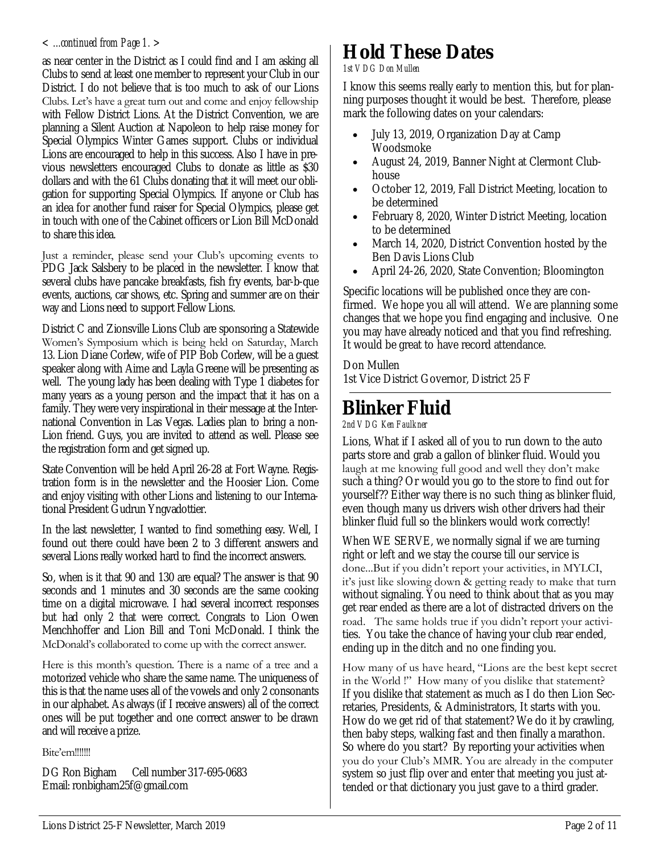as near center in the District as I could find and I am asking all Clubs to send at least one member to represent your Club in our District. I do not believe that is too much to ask of our Lions Clubs. Let's have a great turn out and come and enjoy fellowship with Fellow District Lions. At the District Convention, we are planning a Silent Auction at Napoleon to help raise money for Special Olympics Winter Games support. Clubs or individual Lions are encouraged to help in this success. Also I have in previous newsletters encouraged Clubs to donate as little as \$30 dollars and with the 61 Clubs donating that it will meet our obligation for supporting Special Olympics. If anyone or Club has an idea for another fund raiser for Special Olympics, please get in touch with one of the Cabinet officers or Lion Bill McDonald to share this idea.

Just a reminder, please send your Club's upcoming events to PDG Jack Salsbery to be placed in the newsletter. I know that several clubs have pancake breakfasts, fish fry events, bar-b-que events, auctions, car shows, etc. Spring and summer are on their way and Lions need to support Fellow Lions.

District C and Zionsville Lions Club are sponsoring a Statewide Women's Symposium which is being held on Saturday, March 13. Lion Diane Corlew, wife of PIP Bob Corlew, will be a guest speaker along with Aime and Layla Greene will be presenting as well. The young lady has been dealing with Type 1 diabetes for many years as a young person and the impact that it has on a family. They were very inspirational in their message at the International Convention in Las Vegas. Ladies plan to bring a non-Lion friend. Guys, you are invited to attend as well. Please see the registration form and get signed up.

State Convention will be held April 26-28 at Fort Wayne. Registration form is in the newsletter and the Hoosier Lion. Come and enjoy visiting with other Lions and listening to our International President Gudrun Yngvadottier.

In the last newsletter, I wanted to find something easy. Well, I found out there could have been 2 to 3 different answers and several Lions really worked hard to find the incorrect answers.

So, when is it that 90 and 130 are equal? The answer is that 90 seconds and 1 minutes and 30 seconds are the same cooking time on a digital microwave. I had several incorrect responses but had only 2 that were correct. Congrats to Lion Owen Menchhoffer and Lion Bill and Toni McDonald. I think the McDonald's collaborated to come up with the correct answer.

Here is this month's question. There is a name of a tree and a motorized vehicle who share the same name. The uniqueness of this is that the name uses all of the vowels and only 2 consonants in our alphabet. As always (if I receive answers) all of the correct ones will be put together and one correct answer to be drawn and will receive a prize.

#### Bite'em!!!!!!!

DG Ron Bigham Cell number 317-695-0683 Email: ronbigham25f@gmail.com

# *< ...continued from Page 1. >* **Hold These Dates**

#### *1st VDG Don Mullen*

I know this seems really early to mention this, but for planning purposes thought it would be best. Therefore, please mark the following dates on your calendars:

- July 13, 2019, Organization Day at Camp Woodsmoke
- August 24, 2019, Banner Night at Clermont Clubhouse
- October 12, 2019, Fall District Meeting, location to be determined
- February 8, 2020, Winter District Meeting, location to be determined
- March 14, 2020, District Convention hosted by the Ben Davis Lions Club
- April 24-26, 2020, State Convention; Bloomington

Specific locations will be published once they are confirmed. We hope you all will attend. We are planning some changes that we hope you find engaging and inclusive. One you may have already noticed and that you find refreshing. It would be great to have record attendance.

### Don Mullen

1st Vice District Governor, District 25 F

### **Blinker Fluid**

*2nd VDG Ken Faulkner*

Lions, What if I asked all of you to run down to the auto parts store and grab a gallon of blinker fluid. Would you laugh at me knowing full good and well they don't make such a thing? Or would you go to the store to find out for yourself?? Either way there is no such thing as blinker fluid, even though many us drivers wish other drivers had their blinker fluid full so the blinkers would work correctly!

When WE SERVE, we normally signal if we are turning right or left and we stay the course till our service is done...But if you didn't report your activities, in MYLCI, it's just like slowing down & getting ready to make that turn without signaling. You need to think about that as you may get rear ended as there are a lot of distracted drivers on the road. The same holds true if you didn't report your activities. You take the chance of having your club rear ended, ending up in the ditch and no one finding you.

How many of us have heard, "Lions are the best kept secret in the World !" How many of you dislike that statement? If you dislike that statement as much as I do then Lion Secretaries, Presidents, & Administrators, It starts with you. How do we get rid of that statement? We do it by crawling, then baby steps, walking fast and then finally a marathon. So where do you start? By reporting your activities when you do your Club's MMR. You are already in the computer system so just flip over and enter that meeting you just attended or that dictionary you just gave to a third grader.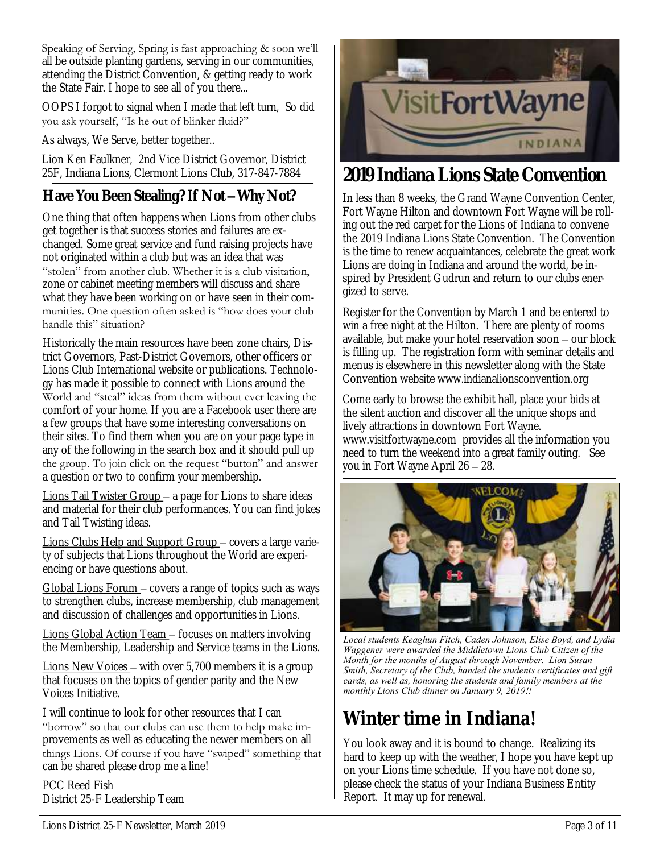Speaking of Serving, Spring is fast approaching & soon we'll all be outside planting gardens, serving in our communities, attending the District Convention, & getting ready to work the State Fair. I hope to see all of you there...

OOPS I forgot to signal when I made that left turn, So did you ask yourself, "Is he out of blinker fluid?"

As always, We Serve, better together..

Lion Ken Faulkner, 2nd Vice District Governor, District

### **Have You Been Stealing? If Not –Why Not?**

One thing that often happens when Lions from other clubs get together is that success stories and failures are exchanged. Some great service and fund raising projects have not originated within a club but was an idea that was "stolen" from another club. Whether it is a club visitation, zone or cabinet meeting members will discuss and share what they have been working on or have seen in their communities. One question often asked is "how does your club handle this" situation?

Historically the main resources have been zone chairs, District Governors, Past-District Governors, other officers or Lions Club International website or publications. Technology has made it possible to connect with Lions around the World and "steal" ideas from them without ever leaving the comfort of your home. If you are a Facebook user there are a few groups that have some interesting conversations on their sites. To find them when you are on your page type in any of the following in the search box and it should pull up the group. To join click on the request "button" and answer a question or two to confirm your membership.

Lions Tail Twister Group – a page for Lions to share ideas and material for their club performances. You can find jokes and Tail Twisting ideas.

Lions Clubs Help and Support Group – covers a large variety of subjects that Lions throughout the World are experiencing or have questions about.

Global Lions Forum – covers a range of topics such as ways to strengthen clubs, increase membership, club management and discussion of challenges and opportunities in Lions.

Lions Global Action Team – focuses on matters involving the Membership, Leadership and Service teams in the Lions.

<u>Lions New Voices</u> – with over 5,700 members it is a group that focuses on the topics of gender parity and the New Voices Initiative.

I will continue to look for other resources that I can "borrow" so that our clubs can use them to help make improvements as well as educating the newer members on all things Lions. Of course if you have "swiped" something that can be shared please drop me a line!

PCC Reed Fish District 25-F Leadership Team



### 25F, Indiana Lions, Clermont Lions Club, 317-847-7884 **2019 Indiana Lions State Convention**

In less than 8 weeks, the Grand Wayne Convention Center, Fort Wayne Hilton and downtown Fort Wayne will be rolling out the red carpet for the Lions of Indiana to convene the 2019 Indiana Lions State Convention. The Convention is the time to renew acquaintances, celebrate the great work Lions are doing in Indiana and around the world, be inspired by President Gudrun and return to our clubs energized to serve.

Register for the Convention by March 1 and be entered to win a free night at the Hilton. There are plenty of rooms available, but make your hotel reservation soon – our block is filling up. The registration form with seminar details and menus is elsewhere in this newsletter along with the State Convention website www.indianalionsconvention.org

Come early to browse the exhibit hall, place your bids at the silent auction and discover all the unique shops and lively attractions in downtown Fort Wayne. www.visitfortwayne.com provides all the information you need to turn the weekend into a great family outing. See you in Fort Wayne April 26 – 28.



*Local students Keaghun Fitch, Caden Johnson, Elise Boyd, and Lydia Waggener were awarded the Middletown Lions Club Citizen of the Month for the months of August through November. Lion Susan Smith, Secretary of the Club, handed the students certificates and gift cards, as well as, honoring the students and family members at the monthly Lions Club dinner on January 9, 2019!!* 

## **Winter time in Indiana!**

You look away and it is bound to change. Realizing its hard to keep up with the weather, I hope you have kept up on your Lions time schedule. If you have not done so, please check the status of your Indiana Business Entity Report. It may up for renewal.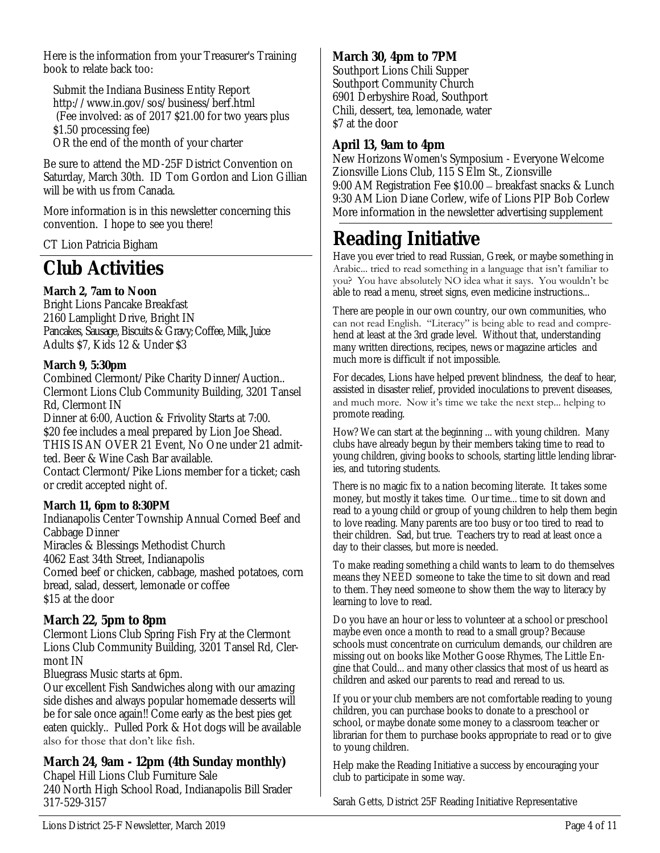Here is the information from your Treasurer's Training book to relate back too:

Submit the Indiana Business Entity Report http://www.in.gov/sos/business/berf.html (Fee involved: as of 2017 \$21.00 for two years plus \$1.50 processing fee)

OR the end of the month of your charter

Be sure to attend the MD-25F District Convention on Saturday, March 30th. ID Tom Gordon and Lion Gillian will be with us from Canada.

More information is in this newsletter concerning this convention. I hope to see you there!

CT Lion Patricia Bigham

### **Club Activities**

**March 2, 7am to Noon** Bright Lions Pancake Breakfast 2160 Lamplight Drive, Bright IN Pancakes, Sausage, Biscuits & Gravy; Coffee, Milk, Juice Adults \$7, Kids 12 & Under \$3

**March 9, 5:30pm**

Combined Clermont/Pike Charity Dinner/Auction.. Clermont Lions Club Community Building, 3201 Tansel Rd, Clermont IN

Dinner at 6:00, Auction & Frivolity Starts at 7:00. \$20 fee includes a meal prepared by Lion Joe Shead. THIS IS AN OVER 21 Event, No One under 21 admitted. Beer & Wine Cash Bar available.

Contact Clermont/Pike Lions member for a ticket; cash or credit accepted night of.

**March 11, 6pm to 8:30PM** Indianapolis Center Township Annual Corned Beef and Cabbage Dinner Miracles & Blessings Methodist Church 4062 East 34th Street, Indianapolis Corned beef or chicken, cabbage, mashed potatoes, corn bread, salad, dessert, lemonade or coffee \$15 at the door

**March 22, 5pm to 8pm** Clermont Lions Club Spring Fish Fry at the Clermont Lions Club Community Building, 3201 Tansel Rd, Clermont IN

Bluegrass Music starts at 6pm.

Our excellent Fish Sandwiches along with our amazing side dishes and always popular homemade desserts will be for sale once again!! Come early as the best pies get eaten quickly.. Pulled Pork & Hot dogs will be available also for those that don't like fish.

**March 24, 9am - 12pm (4th Sunday monthly)**  Chapel Hill Lions Club Furniture Sale 240 North High School Road, Indianapolis Bill Srader 317-529-3157

**March 30, 4pm to 7PM** Southport Lions Chili Supper Southport Community Church 6901 Derbyshire Road, Southport Chili, dessert, tea, lemonade, water \$7 at the door

#### **April 13, 9am to 4pm**

New Horizons Women's Symposium - Everyone Welcome Zionsville Lions Club, 115 S Elm St., Zionsville 9:00 AM Registration Fee \$10.00 – breakfast snacks & Lunch 9:30 AM Lion Diane Corlew, wife of Lions PIP Bob Corlew More information in the newsletter advertising supplement

### **Reading Initiative**

Have you ever tried to read Russian, Greek, or maybe something in Arabic... tried to read something in a language that isn't familiar to you? You have absolutely NO idea what it says. You wouldn't be able to read a menu, street signs, even medicine instructions...

There are people in our own country, our own communities, who can not read English. "Literacy" is being able to read and comprehend at least at the 3rd grade level. Without that, understanding many written directions, recipes, news or magazine articles and much more is difficult if not impossible.

For decades, Lions have helped prevent blindness, the deaf to hear, assisted in disaster relief, provided inoculations to prevent diseases, and much more. Now it's time we take the next step... helping to promote reading.

How? We can start at the beginning ... with young children. Many clubs have already begun by their members taking time to read to young children, giving books to schools, starting little lending libraries, and tutoring students.

There is no magic fix to a nation becoming literate. It takes some money, but mostly it takes time. Our time... time to sit down and read to a young child or group of young children to help them begin to love reading. Many parents are too busy or too tired to read to their children. Sad, but true. Teachers try to read at least once a day to their classes, but more is needed.

To make reading something a child wants to learn to do themselves means they NEED someone to take the time to sit down and read to them. They need someone to show them the way to literacy by learning to love to read.

Do you have an hour or less to volunteer at a school or preschool maybe even once a month to read to a small group? Because schools must concentrate on curriculum demands, our children are missing out on books like Mother Goose Rhymes, The Little Engine that Could... and many other classics that most of us heard as children and asked our parents to read and reread to us.

If you or your club members are not comfortable reading to young children, you can purchase books to donate to a preschool or school, or maybe donate some money to a classroom teacher or librarian for them to purchase books appropriate to read or to give to young children.

Help make the Reading Initiative a success by encouraging your club to participate in some way.

Sarah Getts, District 25F Reading Initiative Representative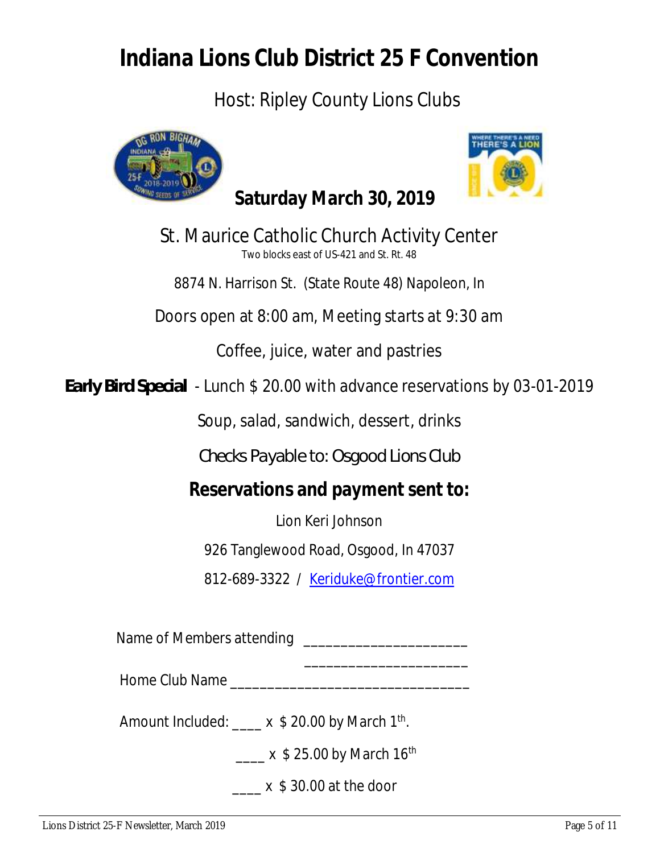# **Indiana Lions Club District 25 F Convention**

### Host: Ripley County Lions Clubs





St. Maurice Catholic Church Activity Center Two blocks east of US-421 and St. Rt. 48

8874 N. Harrison St. (State Route 48) Napoleon, In

Doors open at 8:00 am, Meeting starts at 9:30 am

Coffee, juice, water and pastries

*Early Bird Special* - Lunch \$ 20.00 with advance reservations by 03-01-2019

Soup, salad, sandwich, dessert, drinks

*Checks Payable to: Osgood Lions Club*

**Reservations and payment sent to:** 

Lion Keri Johnson

926 Tanglewood Road, Osgood, In 47037

812-689-3322 / Keriduke@frontier.com

Name of Members attending \_\_\_\_\_\_\_\_\_\_\_\_\_\_\_\_\_\_\_\_\_\_

Home Club Name \_\_\_\_\_\_\_\_\_\_\_\_\_\_\_\_\_\_\_\_\_\_\_\_\_\_\_\_\_\_\_\_

Amount Included: \_\_\_\_ x \$ 20.00 by March 1<sup>th</sup>.

 $\mathcal{L}_\mathcal{L}$  , which is a set of the set of the set of the set of the set of the set of the set of the set of the set of the set of the set of the set of the set of the set of the set of the set of the set of the set of

 $\frac{1}{2}$  x \$ 25.00 by March 16<sup>th</sup>

 $x \text{ }$ \$ 30.00 at the door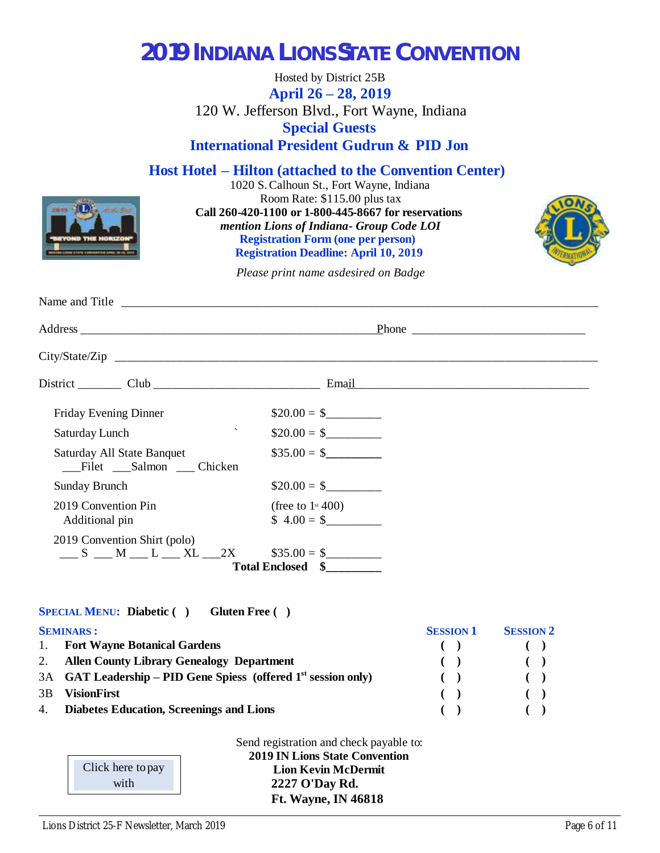## **2019 INDIANA LIONS STATE CONVENTION**

Hosted by District 25B **April 26 – 28, 2019** 120 W. Jefferson Blvd., Fort Wayne, Indiana **Special Guests International President Gudrun & PID Jon**

**Host Hotel – Hilton (attached to the Convention Center)**

1020 S. Calhoun St., Fort Wayne, Indiana Room Rate: \$115.00 plus tax **Call 260-420-1100 or 1-800-445-8667 for reservations**  *mention Lions of Indiana - Group Code LOI* **Registration Form (one per person) Registration Deadline: April 10, 2019**



*Please print name as desired on Badge*

| Friday Evening Dinner                                        | $$20.00 = $$                                   |
|--------------------------------------------------------------|------------------------------------------------|
| $\boldsymbol{\checkmark}$<br>Saturday Lunch                  | $\$20.00 = \$$                                 |
| Saturday All State Banquet<br>Filet Salmon Chicken           | $\$35.00 = \$$                                 |
| <b>Sunday Brunch</b>                                         | $\$20.00 = \$$                                 |
| 2019 Convention Pin<br>Additional pin                        | (free to $1$ <sup>st</sup> 400)<br>$$4.00 = $$ |
| 2019 Convention Shirt (polo)<br>$S$ M L L XL 2X $$35.00 = $$ | Total Enclosed \$                              |

#### **SPECIAL MENU: Diabetic ( ) Gluten Free ( )**

|    | <b>SEMINARS:</b>                                                 | <b>SESSION 1</b> | <b>SESSION 2</b>       |
|----|------------------------------------------------------------------|------------------|------------------------|
|    | 1. Fort Wayne Botanical Gardens                                  |                  |                        |
|    | 2. Allen County Library Genealogy Department                     |                  | $\left( \quad \right)$ |
|    | 3A GAT Leadership – PID Gene Spiess (offered $1st$ session only) |                  |                        |
| 3B | <b>VisionFirst</b>                                               |                  |                        |
|    | 4. Diabetes Education, Screenings and Lions                      |                  |                        |

Send registration and check payable to: **2019 IN Lions State Convention Lion Kevin McDermit 2227 O'Day Rd. Ft. Wayne, IN 46818**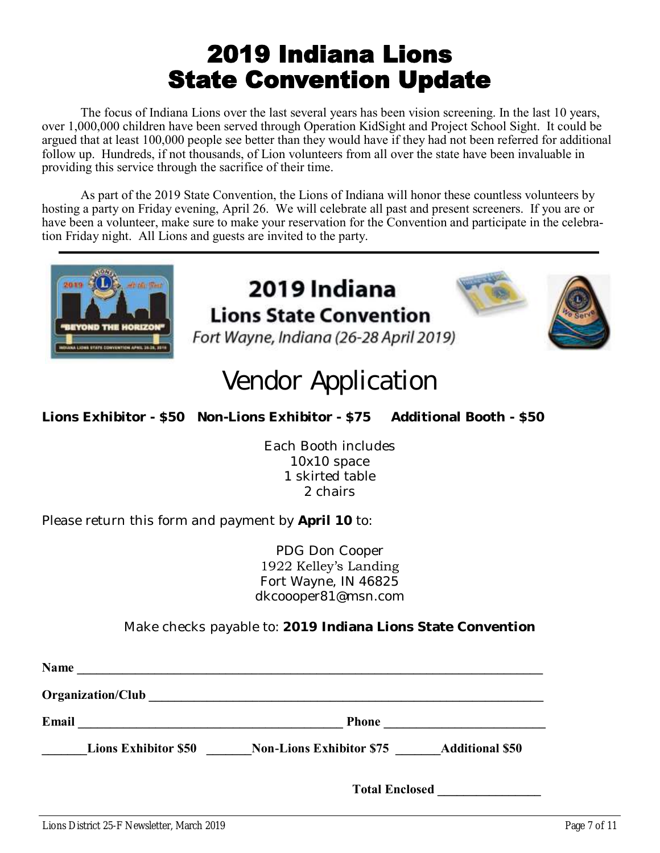# 2019 Indiana Lions State Convention Update

The focus of Indiana Lions over the last several years has been vision screening. In the last 10 years, over 1,000,000 children have been served through Operation KidSight and Project School Sight. It could be argued that at least 100,000 people see better than they would have if they had not been referred for additional follow up. Hundreds, if not thousands, of Lion volunteers from all over the state have been invaluable in providing this service through the sacrifice of their time.

As part of the 2019 State Convention, the Lions of Indiana will honor these countless volunteers by hosting a party on Friday evening, April 26. We will celebrate all past and present screeners. If you are or have been a volunteer, make sure to make your reservation for the Convention and participate in the celebration Friday night. All Lions and guests are invited to the party.



### 2019 Indiana **Lions State Convention** Fort Wayne, Indiana (26-28 April 2019)



# **Vendor Application**

**Lions Exhibitor - \$50 Non-Lions Exhibitor - \$75 Additional Booth - \$50**

Each Booth includes 10x10 space 1 skirted table 2 chairs

Please return this form and payment by **April 10** to:

PDG Don Cooper 1922 Kelley's Landing Fort Wayne, IN 46825 dkcoooper81@msn.com

Make checks payable to: **2019 Indiana Lions State Convention**

| <b>Name</b> |                             |                                 |                        |
|-------------|-----------------------------|---------------------------------|------------------------|
|             | Organization/Club           |                                 |                        |
| Email       |                             | <b>Phone</b>                    |                        |
|             | <b>Lions Exhibitor \$50</b> | <b>Non-Lions Exhibitor \$75</b> | <b>Additional \$50</b> |
|             |                             | <b>Total Enclosed</b>           |                        |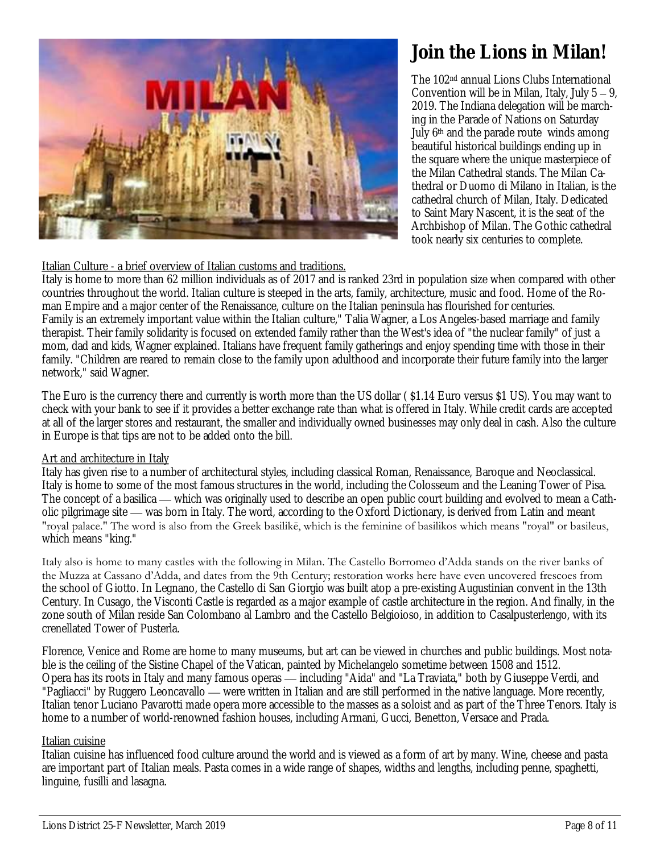

### **Join the Lions in Milan!**

The 102nd annual Lions Clubs International Convention will be in Milan, Italy, July 5 – 9, 2019. The Indiana delegation will be marching in the Parade of Nations on Saturday July 6<sup>th</sup> and the parade route winds among beautiful historical buildings ending up in the square where the unique masterpiece of the Milan Cathedral stands. The Milan Cathedral or Duomo di Milano in Italian, is the cathedral church of Milan, Italy. Dedicated to Saint Mary Nascent, it is the seat of the Archbishop of Milan. The Gothic cathedral took nearly six centuries to complete.

#### Italian Culture - a brief overview of Italian customs and traditions.

Italy is home to more than 62 million individuals as of 2017 and is ranked 23rd in population size when compared with other countries throughout the world. Italian culture is steeped in the arts, family, architecture, music and food. Home of the Roman Empire and a major center of the Renaissance, culture on the Italian peninsula has flourished for centuries. Family is an extremely important value within the Italian culture," Talia Wagner, a Los Angeles-based marriage and family therapist. Their family solidarity is focused on extended family rather than the West's idea of "the nuclear family" of just a mom, dad and kids, Wagner explained. Italians have frequent family gatherings and enjoy spending time with those in their family. "Children are reared to remain close to the family upon adulthood and incorporate their future family into the larger network," said Wagner.

The Euro is the currency there and currently is worth more than the US dollar ( \$1.14 Euro versus \$1 US). You may want to check with your bank to see if it provides a better exchange rate than what is offered in Italy. While credit cards are accepted at all of the larger stores and restaurant, the smaller and individually owned businesses may only deal in cash. Also the culture in Europe is that tips are not to be added onto the bill.

#### Art and architecture in Italy

Italy has given rise to a number of architectural styles, including classical Roman, Renaissance, Baroque and Neoclassical. Italy is home to some of the most famous structures in the world, including the Colosseum and the Leaning Tower of Pisa. The concept of a basilica — which was originally used to describe an open public court building and evolved to mean a Catholic pilgrimage site — was born in Italy. The word, according to the Oxford Dictionary, is derived from Latin and meant "royal palace." The word is also from the Greek basilikē, which is the feminine of basilikos which means "royal" or basileus, which means "king."

Italy also is home to many castles with the following in Milan. The Castello Borromeo d'Adda stands on the river banks of the Muzza at Cassano d'Adda, and dates from the 9th Century; restoration works here have even uncovered frescoes from the school of Giotto. In Legnano, the Castello di San Giorgio was built atop a pre-existing Augustinian convent in the 13th Century. In Cusago, the Visconti Castle is regarded as a major example of castle architecture in the region. And finally, in the zone south of Milan reside San Colombano al Lambro and the Castello Belgioioso, in addition to Casalpusterlengo, with its crenellated Tower of Pusterla.

Florence, Venice and Rome are home to many museums, but art can be viewed in churches and public buildings. Most notable is the ceiling of the Sistine Chapel of the Vatican, painted by Michelangelo sometime between 1508 and 1512. Opera has its roots in Italy and many famous operas — including "Aida" and "La Traviata," both by Giuseppe Verdi, and "Pagliacci" by Ruggero Leoncavallo — were written in Italian and are still performed in the native language. More recently, Italian tenor Luciano Pavarotti made opera more accessible to the masses as a soloist and as part of the Three Tenors. Italy is home to a number of world-renowned fashion houses, including Armani, Gucci, Benetton, Versace and Prada.

### Italian cuisine

Italian cuisine has influenced food culture around the world and is viewed as a form of art by many. Wine, cheese and pasta are important part of Italian meals. Pasta comes in a wide range of shapes, widths and lengths, including penne, spaghetti, linguine, fusilli and lasagna.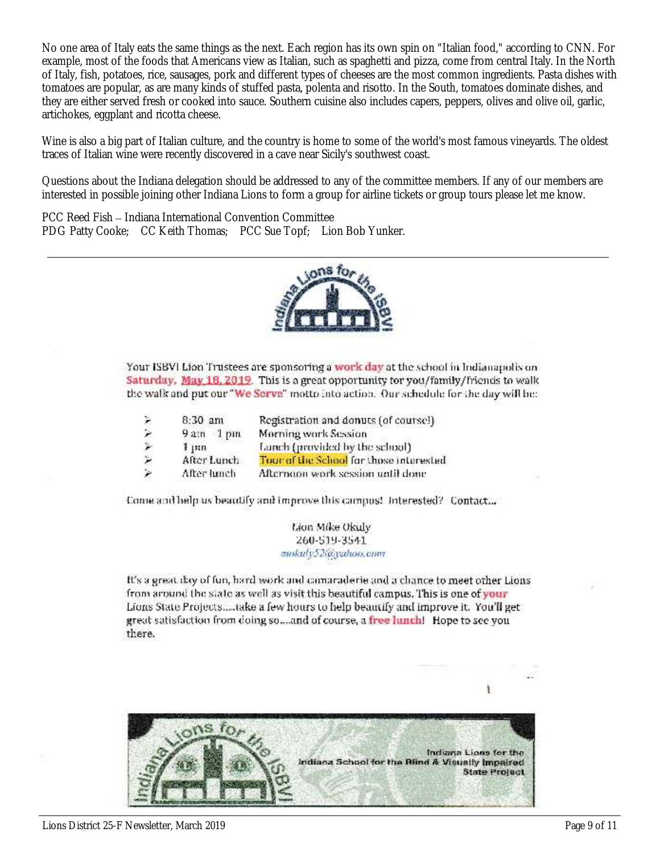No one area of Italy eats the same things as the next. Each region has its own spin on "Italian food," according to CNN. For example, most of the foods that Americans view as Italian, such as spaghetti and pizza, come from central Italy. In the North of Italy, fish, potatoes, rice, sausages, pork and different types of cheeses are the most common ingredients. Pasta dishes with tomatoes are popular, as are many kinds of stuffed pasta, polenta and risotto. In the South, tomatoes dominate dishes, and they are either served fresh or cooked into sauce. Southern cuisine also includes capers, peppers, olives and olive oil, garlic, artichokes, eggplant and ricotta cheese.

Wine is also a big part of Italian culture, and the country is home to some of the world's most famous vineyards. The oldest traces of Italian wine were recently discovered in a cave near Sicily's southwest coast.

Questions about the Indiana delegation should be addressed to any of the committee members. If any of our members are interested in possible joining other Indiana Lions to form a group for airline tickets or group tours please let me know.

PCC Reed Fish – Indiana International Convention Committee PDG Patty Cooke; CC Keith Thomas; PCC Sue Topf; Lion Bob Yunker.



Your ISBVI Lion Trustees are sponsoring a work day at the school in Indianapolis on Saturday, May 18, 2019. This is a great opportunity for you/family/friends to walk the walk and put our "We Serve" motto into action. Our schedule for the day will be:

| X. | $8:30$ am   | Registration and donuts (of coursel)    |
|----|-------------|-----------------------------------------|
| ۶  | $9am$ 1 pm  | Morning work Session                    |
|    | 1, m        | Lanch (provided by the school)          |
| ۳  | After Lunch | Tour of the School for those interested |
| ×  | After lunch | Afternoon work session until done       |

Come and help us beautify and improve this campus! Interested? Contact...

Lion Mike Okuly 260-519-3541 mokuly52@yahoo.com

It's a great day of fun, hard work and camaraderie and a chance to meet other Lions from around the state as well as visit this beautiful campus. This is one of your Lions State Projects.....take a few hours to help beautify and improve it. You'll get great satisfaction from doing so...and of course, a free lunch! Hope to see you there.

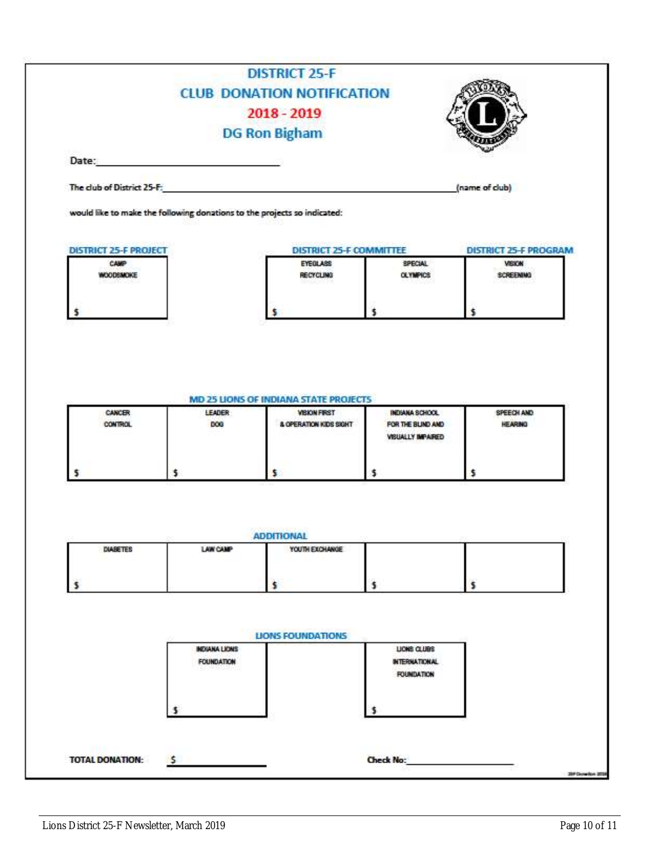|                                                                          | <b>CLUB DONATION NOTIFICATION</b>   |                |                                        |
|--------------------------------------------------------------------------|-------------------------------------|----------------|----------------------------------------|
|                                                                          | $2018 - 2019$                       |                |                                        |
|                                                                          | <b>DG Ron Bigham</b>                |                |                                        |
| Date:                                                                    |                                     |                |                                        |
|                                                                          |                                     |                |                                        |
| The club of District 25-F:                                               |                                     |                | (name of club)                         |
| would like to make the following donations to the projects so indicated: |                                     |                |                                        |
| <u>. Sin Alband Common Strip</u>                                         |                                     |                |                                        |
| <b>DISTRICT 25-F PROJECT</b><br>CAMP                                     | DISTRICT 25-F COMMITTEE<br>EYEOLASS | <b>SPECIAL</b> | <b>DISTRICT 25-F PROGRAM</b><br>VISION |

|  | <u> 2006 - An Ann an t-Ann an Ann an Ann an Aonaichte ann an Aonaichte ann an Aonaichte ann an Aonaichte ann an A</u><br>MD 25 LIONS OF INDIANA STATE PROJECTS |  |  |
|--|----------------------------------------------------------------------------------------------------------------------------------------------------------------|--|--|

| <b>CANCER</b><br>CONTROL | LEADER<br>DOG | <b>VISION FIRST</b><br>& OPERATION KIDS SIGHT | INDIANA SCHOOL<br>FOR THE BLIND AND<br>VISUALLY IMPAIRED | SPEECH AND<br><b>HEARING</b> |
|--------------------------|---------------|-----------------------------------------------|----------------------------------------------------------|------------------------------|
|                          |               |                                               |                                                          |                              |

| <b>DIABETES</b> | LAW CAMP                                  | YOUTH EXCHANGE           |                                                          |  |
|-----------------|-------------------------------------------|--------------------------|----------------------------------------------------------|--|
|                 |                                           |                          |                                                          |  |
|                 |                                           | <b>LIONS FOUNDATIONS</b> |                                                          |  |
|                 | <b>INDIANA LIONS</b><br><b>FOUNDATION</b> |                          | LIONS CLUBS<br><b>INTERNATIONAL</b><br><b>FOUNDATION</b> |  |
|                 |                                           |                          |                                                          |  |
|                 |                                           |                          |                                                          |  |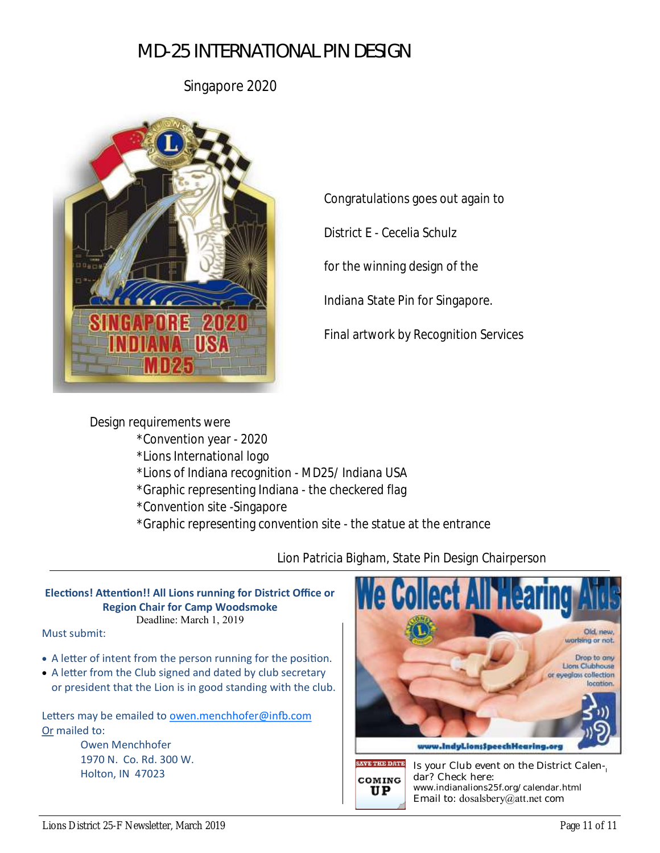Singapore 2020



Congratulations goes out again to

District E - Cecelia Schulz

for the winning design of the

Indiana State Pin for Singapore.

Final artwork by Recognition Services

Design requirements were \*Convention year - 2020 \*Lions International logo \*Lions of Indiana recognition - MD25/ Indiana USA \*Graphic representing Indiana - the checkered flag \*Convention site -Singapore \*Graphic representing convention site - the statue at the entrance

Lion Patricia Bigham, State Pin Design Chairperson

#### **Elections! Attention!! All Lions running for District Office or Region Chair for Camp Woodsmoke** Deadline: March 1, 2019

Must submit:

- A letter of intent from the person running for the position.
- A letter from the Club signed and dated by club secretary or president that the Lion is in good standing with the club.

Letters may be emailed to [owen.menchhofer@infb.com](mailto:owen.menchhofer@infb.com) Or mailed to:

> Owen Menchhofer 1970 N. Co. Rd. 300 W.